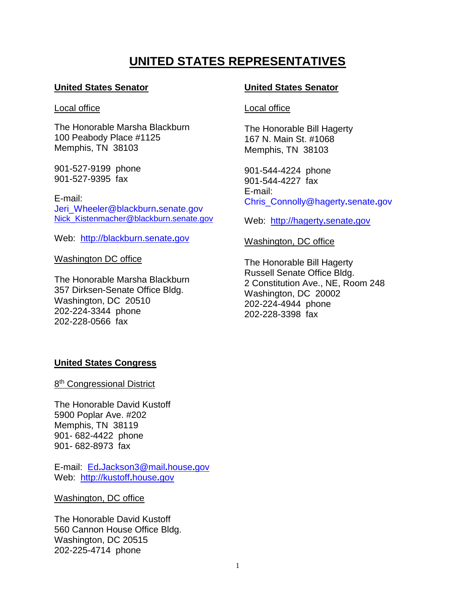# **UNITED STATES REPRESENTATIVES**

## **United States Senator**

#### Local office

The Honorable Marsha Blackburn 100 Peabody Place #1125 Memphis, TN 38103

901-527-9199 phone 901-527-9395 fax

E-mail: Jeri\_Wheeler@blackburn**.**senate.gov [Nick\\_Kistenmacher@blackburn.senate.gov](mailto:Nick_Kistenmacher@blackburn.senate.gov)

Web: [http://blackburn.senate](http://blackburn.senate.gov/)**.**gov

Washington DC office

The Honorable Marsha Blackburn 357 Dirksen-Senate Office Bldg. Washington, DC 20510 202-224-3344 phone 202-228-0566 fax

## **United States Senator**

## Local office

The Honorable Bill Hagerty 167 N. Main St. #1068 Memphis, TN 38103

901-544-4224 phone 901-544-4227 fax E-mail: Chris\_Connolly@hagerty**.**senate**.**gov

Web: [http://hagerty](http://hagerty.senate.gov/)**.**senate**.**gov

## Washington, DC office

The Honorable Bill Hagerty Russell Senate Office Bldg. 2 Constitution Ave., NE, Room 248 Washington, DC 20002 202-224-4944 phone 202-228-3398 fax

## **United States Congress**

8<sup>th</sup> Congressional District

The Honorable David Kustoff 5900 Poplar Ave. #202 Memphis, TN 38119 901- 682-4422 phone 901- 682-8973 fax

E-mail: Ed**.**[Jackson3@mail](mailto:Ed.Jackson3@mail.house.gov)**.**house**.**gov Web: [http://kustoff](http://kustoff.house.gov/)**.**house**.**gov

## Washington, DC office

The Honorable David Kustoff 560 Cannon House Office Bldg. Washington, DC 20515 202-225-4714 phone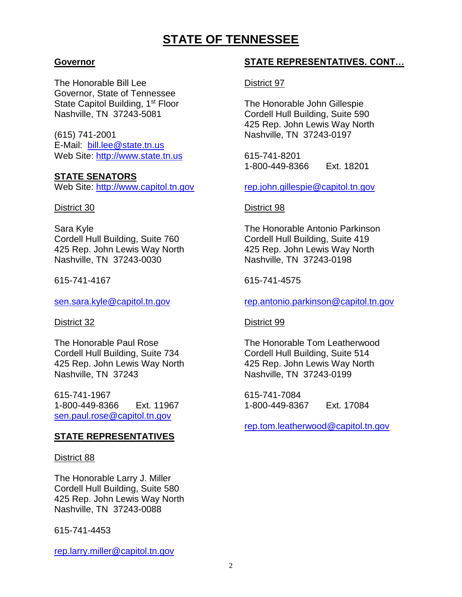# **STATE OF TENNESSEE**

## **Governor**

The Honorable Bill Lee Governor, State of Tennessee State Capitol Building, 1<sup>st</sup> Floor Nashville, TN 37243-5081

(615) 741-2001 E-Mail: [bill.lee@state.tn.us](mailto:bill.lee@state.tn.us) Web Site: [http://www.state.tn.us](http://www.state.tn.us/)

## **STATE SENATORS**

Web Site: [http://www.capitol.tn.gov](http://www.capitol.tn.gov/)

## District 30

Sara Kyle Cordell Hull Building, Suite 760 425 Rep. John Lewis Way North Nashville, TN 37243-0030

615-741-4167

[sen.sara.kyle@capitol.tn.gov](mailto:sen.sara.kyle@capitol.tn.gov)

District 32

The Honorable Paul Rose Cordell Hull Building, Suite 734 425 Rep. John Lewis Way North Nashville, TN 37243

615-741-1967 1-800-449-8366 Ext. 11967 [sen.paul.rose@capitol.tn.gov](mailto:sen.paul.rose@capitol.tn.gov)

## **STATE REPRESENTATIVES**

## District 88

The Honorable Larry J. Miller Cordell Hull Building, Suite 580 425 Rep. John Lewis Way North Nashville, TN 37243-0088

615-741-4453

[rep.larry.miller@capitol.tn.gov](mailto:rep.larry.miller@capitol.tn.gov)

## **STATE REPRESENTATIVES. CONT…**

District 97

The Honorable John Gillespie Cordell Hull Building, Suite 590 425 Rep. John Lewis Way North Nashville, TN 37243-0197

615-741-8201 1-800-449-8366 Ext. 18201

[rep.john.gillespie@capitol.tn.gov](mailto:rep.john.gillespie@capitol.tn.gov)

## District 98

The Honorable Antonio Parkinson Cordell Hull Building, Suite 419 425 Rep. John Lewis Way North Nashville, TN 37243-0198

## 615-741-4575

[rep.antonio.parkinson@capitol.tn.gov](mailto:rep.antonio.parkinson@capitol.tn.gov)

## District 99

The Honorable Tom Leatherwood Cordell Hull Building, Suite 514 425 Rep. John Lewis Way North Nashville, TN 37243-0199

615-741-7084 1-800-449-8367 Ext. 17084

[rep.tom.leatherwood@capitol.tn.gov](mailto:rep.tom.leatherwood@capitol.tn.gov)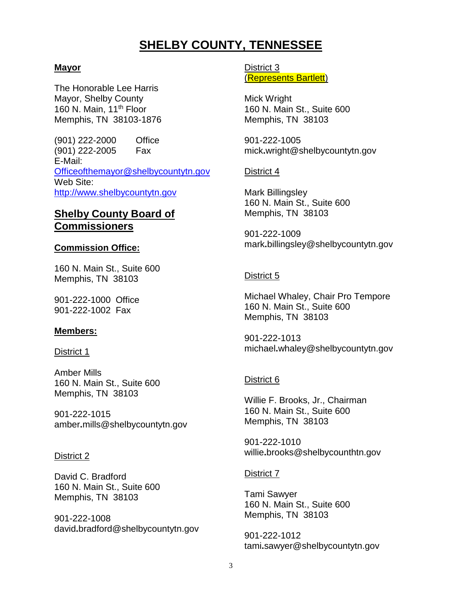# **SHELBY COUNTY, TENNESSEE**

## **Mayor**

The Honorable Lee Harris Mayor, Shelby County 160 N. Main, 11<sup>th</sup> Floor Memphis, TN 38103-1876

(901) 222-2000 Office (901) 222-2005 Fax E-Mail: [Officeofthemayor@shelbycountytn.gov](mailto:Officeofthemayor@shelbycountytn.gov) Web Site: [http://www.shelbycountytn.gov](http://www.shelbycountytn.gov/)

## **Shelby County Board of Commissioners**

## **Commission Office:**

160 N. Main St., Suite 600 Memphis, TN 38103

901-222-1000 Office 901-222-1002 Fax

## **Members:**

## District 1

Amber Mills 160 N. Main St., Suite 600 Memphis, TN 38103

901-222-1015 amber**.**mills@shelbycountytn.gov

## District 2

David C. Bradford 160 N. Main St., Suite 600 Memphis, TN 38103

901-222-1008 david**.**bradford@shelbycountytn.gov District 3 (Represents Bartlett)

Mick Wright 160 N. Main St., Suite 600 Memphis, TN 38103

901-222-1005 mick**.**wright@shelbycountytn.gov

## District 4

Mark Billingsley 160 N. Main St., Suite 600 Memphis, TN 38103

901-222-1009 mark**.**billingsley@shelbycountytn.gov

## District 5

Michael Whaley, Chair Pro Tempore 160 N. Main St., Suite 600 Memphis, TN 38103

901-222-1013 michael**.**whaley@shelbycountytn.gov

## District 6

Willie F. Brooks, Jr., Chairman 160 N. Main St., Suite 600 Memphis, TN 38103

901-222-1010 willie**.**brooks@shelbycounthtn.gov

## District 7

Tami Sawyer 160 N. Main St., Suite 600 Memphis, TN 38103

901-222-1012 tami**.**sawyer@shelbycountytn.gov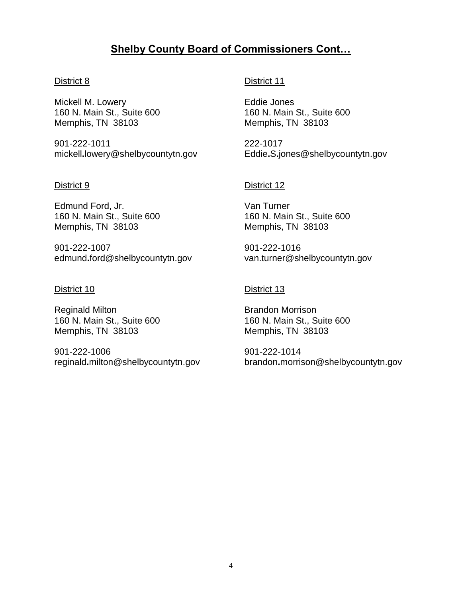# **Shelby County Board of Commissioners Cont…**

## District 8

Mickell M. Lowery 160 N. Main St., Suite 600 Memphis, TN 38103

901-222-1011 mickell**.**lowery@shelbycountytn.gov

#### District 9

Edmund Ford, Jr. 160 N. Main St., Suite 600 Memphis, TN 38103

901-222-1007 edmund**.**ford@shelbycountytn.gov

#### District 10

Reginald Milton 160 N. Main St., Suite 600 Memphis, TN 38103

901-222-1006 reginald**.**milton@shelbycountytn.gov

## District 11

Eddie Jones 160 N. Main St., Suite 600 Memphis, TN 38103

222-1017 Eddie**.**S**.**jones@shelbycountytn.gov

## District 12

Van Turner 160 N. Main St., Suite 600 Memphis, TN 38103

901-222-1016 van.turner@shelbycountytn.gov

## District 13

Brandon Morrison 160 N. Main St., Suite 600 Memphis, TN 38103

901-222-1014 brandon**.**morrison@shelbycountytn.gov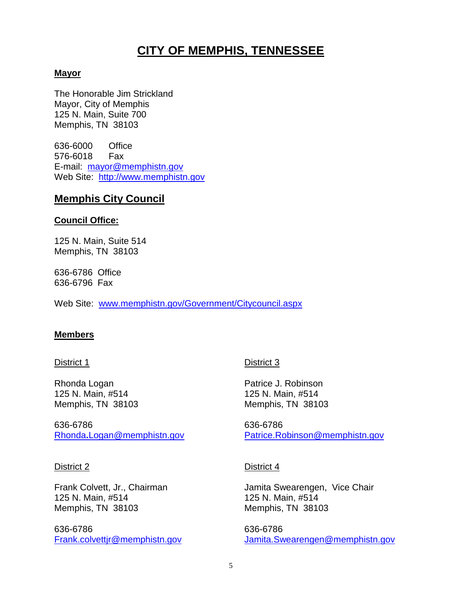# **CITY OF MEMPHIS, TENNESSEE**

## **Mayor**

The Honorable Jim Strickland Mayor, City of Memphis 125 N. Main, Suite 700 Memphis, TN 38103

636-6000 Office 576-6018 Fax E-mail: [mayor@memphistn.gov](mailto:mayor@memphistn.gov) Web Site: [http://www.memphistn.gov](http://www.memphistn.gov/)

## **Memphis City Council**

## **Council Office:**

125 N. Main, Suite 514 Memphis, TN 38103

636-6786 Office 636-6796 Fax

Web Site: [www.memphistn.gov/Government/Citycouncil.aspx](http://www.memphistn.gov/Government/Citycouncil.aspx)

## **Members**

## District 1

Rhonda Logan 125 N. Main, #514 Memphis, TN 38103

636-6786 Rhonda**.**[Logan@memphistn.gov](mailto:Rhonda.Logan@memphistn.gov)

## District 2

Frank Colvett, Jr., Chairman 125 N. Main, #514 Memphis, TN 38103

636-6786 [Frank.colvettjr@memphistn.gov](mailto:Frank.colvettjr@memphistn.gov)

## District 3

Patrice J. Robinson 125 N. Main, #514 Memphis, TN 38103

636-6786 [Patrice.Robinson@memphistn.gov](mailto:Patrice.Robinson@memphistn.gov)

## District 4

Jamita Swearengen, Vice Chair 125 N. Main, #514 Memphis, TN 38103

636-6786 [Jamita.Swearengen@memphistn.gov](mailto:Jamita.Swearengen@memphistn.gov)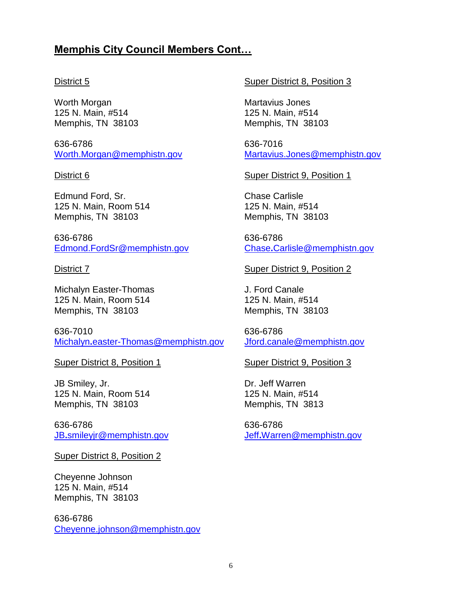## **Memphis City Council Members Cont…**

## District 5

Worth Morgan 125 N. Main, #514 Memphis, TN 38103

636-6786 [Worth.Morgan@memphistn.gov](mailto:Worth.Morgan@memphistn.gov)

#### District 6

Edmund Ford, Sr. 125 N. Main, Room 514 Memphis, TN 38103

636-6786 [Edmond.FordSr@memphistn.gov](mailto:Edmond.FordSr@memphistn.gov)

#### District 7

Michalyn Easter-Thomas 125 N. Main, Room 514 Memphis, TN 38103

636-7010 Michalyn**.**[easter-Thomas@memphistn.gov](mailto:Michalyn.easter-Thomas@memphistn.gov)

## Super District 8, Position 1

JB Smiley, Jr. 125 N. Main, Room 514 Memphis, TN 38103

636-6786 JB**.**[smileyjr@memphistn.gov](mailto:JB.smileyjr@memphistn.gov)

Super District 8, Position 2

Cheyenne Johnson 125 N. Main, #514 Memphis, TN 38103

636-6786 [Cheyenne.johnson@memphistn.gov](mailto:Cheyenne.johnson@memphistn.gov)

## Super District 8, Position 3

Martavius Jones 125 N. Main, #514 Memphis, TN 38103

636-7016 [Martavius.Jones@memphistn.gov](mailto:Martavius.Jones@memphistn.gov)

Super District 9, Position 1

Chase Carlisle 125 N. Main, #514 Memphis, TN 38103

636-6786 Chase**.**[Carlisle@memphistn.gov](mailto:Chase.Carlisle@memphistn.gov)

Super District 9, Position 2

J. Ford Canale 125 N. Main, #514 Memphis, TN 38103

636-6786 [Jford.canale@memphistn.gov](mailto:Jford.canale@memphistn.gov)

## Super District 9, Position 3

Dr. Jeff Warren 125 N. Main, #514 Memphis, TN 3813

636-6786 Jeff**.**[Warren@memphistn.gov](mailto:Jeff.Warren@memphistn.gov)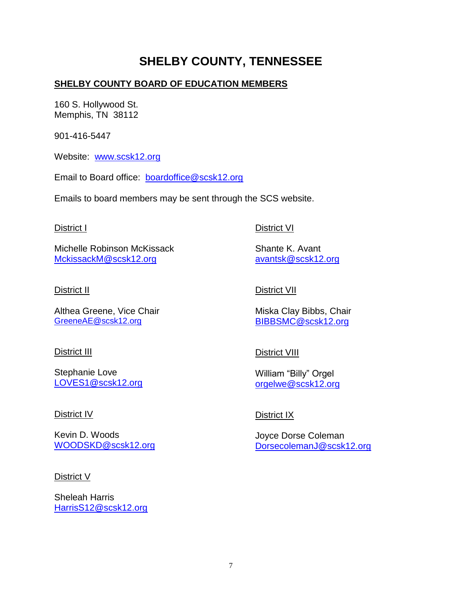# **SHELBY COUNTY, TENNESSEE**

## **SHELBY COUNTY BOARD OF EDUCATION MEMBERS**

160 S. Hollywood St. Memphis, TN 38112

901-416-5447

Website: [www.scsk12.org](http://www.scsk12.org/)

Email to Board office: [boardoffice@scsk12.org](mailto:boardoffice@scsk12.org)

Emails to board members may be sent through the SCS website.

## District I

Michelle Robinson McKissack [MckissackM@scsk12.org](mailto:MckissackM@scsk12.org)

## District II

Althea Greene, Vice Chair [GreeneAE@scsk12.org](mailto:GreeneAE@scsk12.org)

## District III

Stephanie Love [LOVES1@scsk12.org](mailto:LOVES1@scsk12.org)

## District IV

Kevin D. Woods [WOODSKD@scsk12.org](mailto:WOODSKD@scsk12.org)

## District V

Sheleah Harris [HarrisS12@scsk12.org](mailto:HarrisS12@scsk12.org)

## District VI

Shante K. Avant [avantsk@scsk12.org](mailto:avantsk@scsk12.org)

## District VII

Miska Clay Bibbs, Chair [BIBBSMC@scsk12.org](mailto:BIBBSMC@scsk12.org)

## District VIII

William "Billy" Orgel [orgelwe@scsk12.org](mailto:orgelwe@scsk12.org)

## District IX

Joyce Dorse Coleman [DorsecolemanJ@scsk12.org](mailto:DorsecolemanJ@scsk12.org)